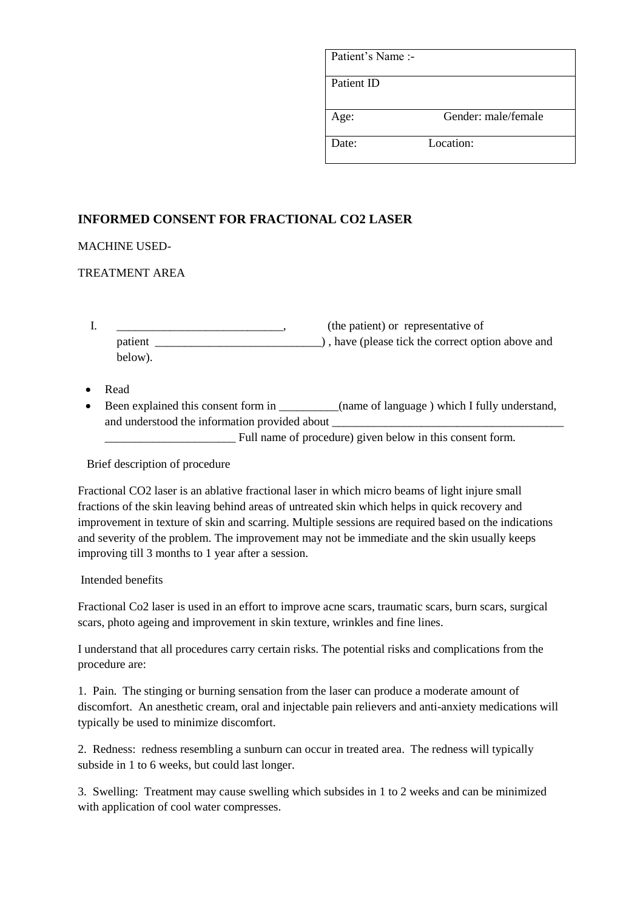| Patient's Name:- |                     |
|------------------|---------------------|
| Patient ID       |                     |
| Age:             | Gender: male/female |
| Date:            | Location:           |

## **INFORMED CONSENT FOR FRACTIONAL CO2 LASER**

MACHINE USED-

## TREATMENT AREA

|         | (the patient) or representative of                |
|---------|---------------------------------------------------|
| patient | ), have (please tick the correct option above and |
| below). |                                                   |

- Read
- Been explained this consent form in \_\_\_\_\_\_\_\_\_(name of language ) which I fully understand, and understood the information provided about

\_\_\_\_\_\_\_\_\_\_\_\_\_\_\_\_\_\_\_\_\_\_ Full name of procedure) given below in this consent form.

Brief description of procedure

Fractional CO2 laser is an ablative fractional laser in which micro beams of light injure small fractions of the skin leaving behind areas of untreated skin which helps in quick recovery and improvement in texture of skin and scarring. Multiple sessions are required based on the indications and severity of the problem. The improvement may not be immediate and the skin usually keeps improving till 3 months to 1 year after a session.

Intended benefits

Fractional Co2 laser is used in an effort to improve acne scars, traumatic scars, burn scars, surgical scars, photo ageing and improvement in skin texture, wrinkles and fine lines.

I understand that all procedures carry certain risks. The potential risks and complications from the procedure are:

1. Pain. The stinging or burning sensation from the laser can produce a moderate amount of discomfort. An anesthetic cream, oral and injectable pain relievers and anti-anxiety medications will typically be used to minimize discomfort.

2. Redness: redness resembling a sunburn can occur in treated area. The redness will typically subside in 1 to 6 weeks, but could last longer.

3. Swelling: Treatment may cause swelling which subsides in 1 to 2 weeks and can be minimized with application of cool water compresses.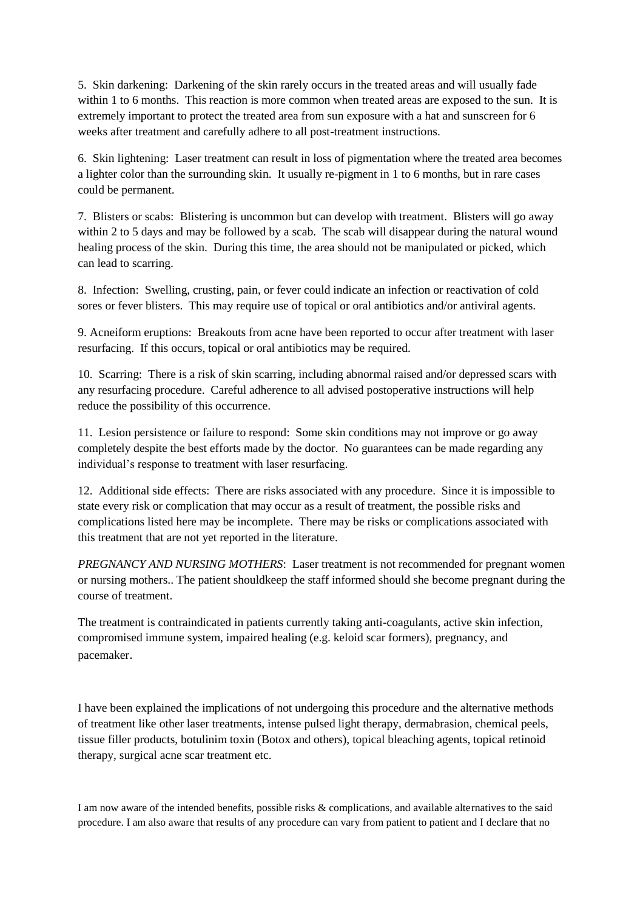5. Skin darkening: Darkening of the skin rarely occurs in the treated areas and will usually fade within 1 to 6 months. This reaction is more common when treated areas are exposed to the sun. It is extremely important to protect the treated area from sun exposure with a hat and sunscreen for 6 weeks after treatment and carefully adhere to all post-treatment instructions.

6. Skin lightening: Laser treatment can result in loss of pigmentation where the treated area becomes a lighter color than the surrounding skin. It usually re-pigment in 1 to 6 months, but in rare cases could be permanent.

7. Blisters or scabs: Blistering is uncommon but can develop with treatment. Blisters will go away within 2 to 5 days and may be followed by a scab. The scab will disappear during the natural wound healing process of the skin. During this time, the area should not be manipulated or picked, which can lead to scarring.

8. Infection: Swelling, crusting, pain, or fever could indicate an infection or reactivation of cold sores or fever blisters. This may require use of topical or oral antibiotics and/or antiviral agents.

9. Acneiform eruptions: Breakouts from acne have been reported to occur after treatment with laser resurfacing. If this occurs, topical or oral antibiotics may be required.

10. Scarring: There is a risk of skin scarring, including abnormal raised and/or depressed scars with any resurfacing procedure. Careful adherence to all advised postoperative instructions will help reduce the possibility of this occurrence.

11. Lesion persistence or failure to respond: Some skin conditions may not improve or go away completely despite the best efforts made by the doctor. No guarantees can be made regarding any individual's response to treatment with laser resurfacing.

12. Additional side effects: There are risks associated with any procedure. Since it is impossible to state every risk or complication that may occur as a result of treatment, the possible risks and complications listed here may be incomplete. There may be risks or complications associated with this treatment that are not yet reported in the literature.

*PREGNANCY AND NURSING MOTHERS*: Laser treatment is not recommended for pregnant women or nursing mothers.. The patient shouldkeep the staff informed should she become pregnant during the course of treatment.

The treatment is contraindicated in patients currently taking anti-coagulants, active skin infection, compromised immune system, impaired healing (e.g. keloid scar formers), pregnancy, and pacemaker.

I have been explained the implications of not undergoing this procedure and the alternative methods of treatment like other laser treatments, intense pulsed light therapy, dermabrasion, chemical peels, tissue filler products, botulinim toxin (Botox and others), topical bleaching agents, topical retinoid therapy, surgical acne scar treatment etc.

I am now aware of the intended benefits, possible risks & complications, and available alternatives to the said procedure. I am also aware that results of any procedure can vary from patient to patient and I declare that no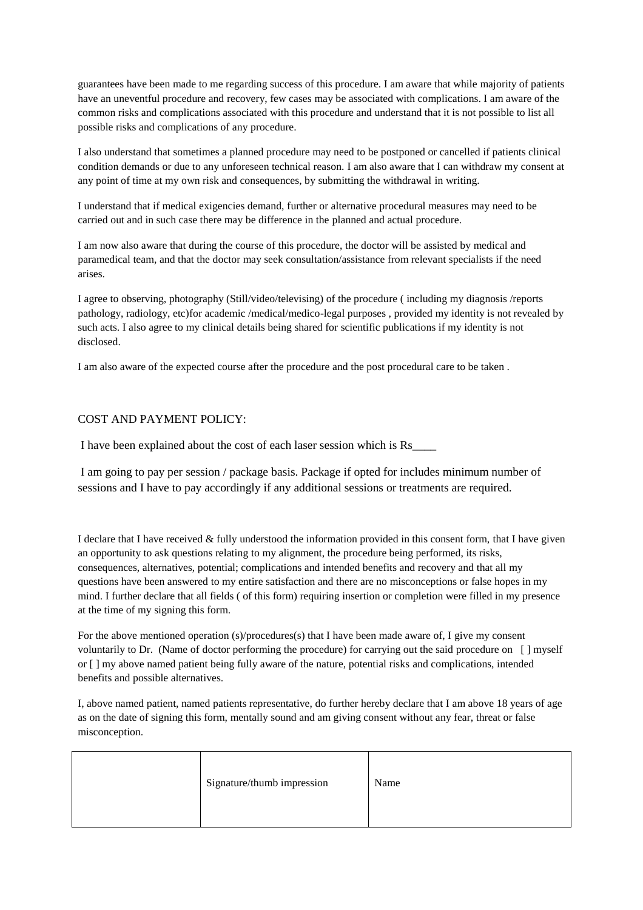guarantees have been made to me regarding success of this procedure. I am aware that while majority of patients have an uneventful procedure and recovery, few cases may be associated with complications. I am aware of the common risks and complications associated with this procedure and understand that it is not possible to list all possible risks and complications of any procedure.

I also understand that sometimes a planned procedure may need to be postponed or cancelled if patients clinical condition demands or due to any unforeseen technical reason. I am also aware that I can withdraw my consent at any point of time at my own risk and consequences, by submitting the withdrawal in writing.

I understand that if medical exigencies demand, further or alternative procedural measures may need to be carried out and in such case there may be difference in the planned and actual procedure.

I am now also aware that during the course of this procedure, the doctor will be assisted by medical and paramedical team, and that the doctor may seek consultation/assistance from relevant specialists if the need arises.

I agree to observing, photography (Still/video/televising) of the procedure ( including my diagnosis /reports pathology, radiology, etc)for academic /medical/medico-legal purposes , provided my identity is not revealed by such acts. I also agree to my clinical details being shared for scientific publications if my identity is not disclosed.

I am also aware of the expected course after the procedure and the post procedural care to be taken .

## COST AND PAYMENT POLICY:

I have been explained about the cost of each laser session which is Rs\_\_\_\_

I am going to pay per session / package basis. Package if opted for includes minimum number of sessions and I have to pay accordingly if any additional sessions or treatments are required.

I declare that I have received & fully understood the information provided in this consent form, that I have given an opportunity to ask questions relating to my alignment, the procedure being performed, its risks, consequences, alternatives, potential; complications and intended benefits and recovery and that all my questions have been answered to my entire satisfaction and there are no misconceptions or false hopes in my mind. I further declare that all fields ( of this form) requiring insertion or completion were filled in my presence at the time of my signing this form.

For the above mentioned operation (s)/procedures(s) that I have been made aware of, I give my consent voluntarily to Dr. (Name of doctor performing the procedure) for carrying out the said procedure on [ ] myself or [ ] my above named patient being fully aware of the nature, potential risks and complications, intended benefits and possible alternatives.

I, above named patient, named patients representative, do further hereby declare that I am above 18 years of age as on the date of signing this form, mentally sound and am giving consent without any fear, threat or false misconception.

|  | Signature/thumb impression | Name |
|--|----------------------------|------|
|--|----------------------------|------|